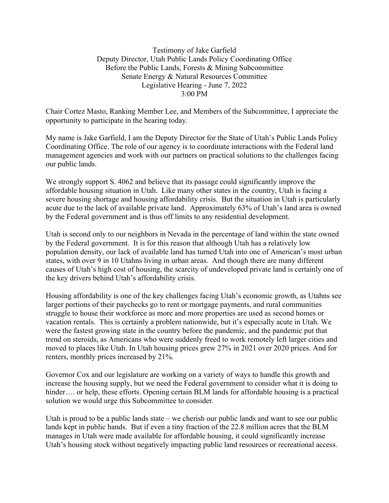## Testimony of Jake Garfield Deputy Director, Utah Public Lands Policy Coordinating Office Before the Public Lands, Forests & Mining Subcommittee Senate Energy & Natural Resources Committee Legislative Hearing - June 7, 2022 3:00 PM

Chair Cortez Masto, Ranking Member Lee, and Members of the Subcommittee, I appreciate the opportunity to participate in the hearing today.

My name is Jake Garfield, I am the Deputy Director for the State of Utah's Public Lands Policy Coordinating Office. The role of our agency is to coordinate interactions with the Federal land management agencies and work with our partners on practical solutions to the challenges facing our public lands.

We strongly support S. 4062 and believe that its passage could significantly improve the affordable housing situation in Utah. Like many other states in the country, Utah is facing a severe housing shortage and housing affordability crisis. But the situation in Utah is particularly acute due to the lack of available private land. Approximately 63% of Utah's land area is owned by the Federal government and is thus off limits to any residential development.

Utah is second only to our neighbors in Nevada in the percentage of land within the state owned by the Federal government. It is for this reason that although Utah has a relatively low population density, our lack of available land has turned Utah into one of American's most urban states, with over 9 in 10 Utahns living in urban areas. And though there are many different causes of Utah's high cost of housing, the scarcity of undeveloped private land is certainly one of the key drivers behind Utah's affordability crisis.

Housing affordability is one of the key challenges facing Utah's economic growth, as Utahns see larger portions of their paychecks go to rent or mortgage payments, and rural communities struggle to house their workforce as more and more properties are used as second homes or vacation rentals. This is certainly a problem nationwide, but it's especially acute in Utah. We were the fastest growing state in the country before the pandemic, and the pandemic put that trend on steroids, as Americans who were suddenly freed to work remotely left larger cities and moved to places like Utah. In Utah housing prices grew 27% in 2021 over 2020 prices. And for renters, monthly prices increased by 21%.

Governor Cox and our legislature are working on a variety of ways to handle this growth and increase the housing supply, but we need the Federal government to consider what it is doing to hinder.... or help, these efforts. Opening certain BLM lands for affordable housing is a practical solution we would urge this Subcommittee to consider.

Utah is proud to be a public lands state – we cherish our public lands and want to see our public lands kept in public hands. But if even a tiny fraction of the 22.8 million acres that the BLM manages in Utah were made available for affordable housing, it could significantly increase Utah's housing stock without negatively impacting public land resources or recreational access.